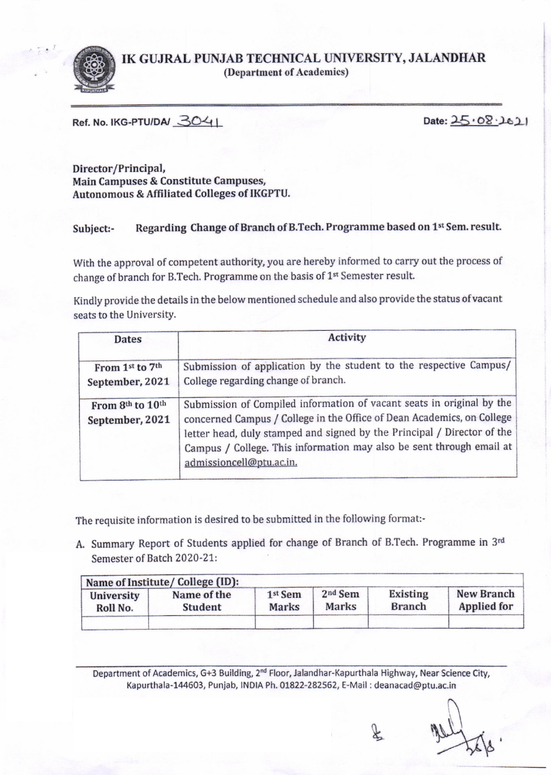

IK GUJRAL PUNJAB TECHNICAL UNIVERSITY, JALANDHAR (Department of Academics)

Ref. No. IKG-PTUIDAI  $3041$  Date:  $25.08.161$ 

Director/Principal, Main Campuses & Constitute Campuses, Autonomous & Affiliated Colleges of IKGPTU.

## Subject:- Regarding Change of Branch of B.Tech. Programme based on 1st Sem. result.

With the approval of competent authority, you are hereby informed to carry out the process of change of branch for B.Tech. Programme on the basis of  $1<sup>st</sup>$  Semester result.

Kindly provide the details in the below mentioned schedule and also provide the status of vacant seats to the UniversitY.

| Dates                               | Activity                                                                                                                                                                                                                                                                                                                       |
|-------------------------------------|--------------------------------------------------------------------------------------------------------------------------------------------------------------------------------------------------------------------------------------------------------------------------------------------------------------------------------|
| From 1st to 7th<br>September, 2021  | Submission of application by the student to the respective Campus/<br>College regarding change of branch.                                                                                                                                                                                                                      |
| From 8th to 10th<br>September, 2021 | Submission of Compiled information of vacant seats in original by the<br>concerned Campus / College in the Office of Dean Academics, on College<br>letter head, duly stamped and signed by the Principal / Director of the<br>Campus / College. This information may also be sent through email at<br>admissioncell@ptu.ac.in. |

The requisite information is desired to be submitted in the following format:-

A. Summary Report of Students applied for change of Branch of B.Tech. Programme in 3rd Semester of Batch 2020-21:

| University | Name of Institute/College (ID):<br>Name of the | 1 <sup>st</sup> Sem | 2 <sup>nd</sup> Sem | <b>Existing</b> | <b>New Branch</b> |
|------------|------------------------------------------------|---------------------|---------------------|-----------------|-------------------|
| Roll No.   | <b>Student</b>                                 | <b>Marks</b>        | <b>Marks</b>        | <b>Branch</b>   | Applied for       |

Department of Academics, G+3 Building, 2<sup>nd</sup> Floor, Jalandhar-Kapurthala Highway, Near Science City, Kapurthala-144603, Punjab, INDIA Ph. 01822-282562, E-Mail : deanacad@ptu.ac.in Example State<br>
1994<br>
1995<br>
1999<br>
1999<br>
1999<br>
1999<br>
1999<br>
1999<br>
1999<br>
1999<br>
1999<br>
1999<br>
1999<br>
1999<br>
1999<br>
1999<br>
1999<br>
1999

 $\textbf{k}$ 

 $\frac{12}{366}$